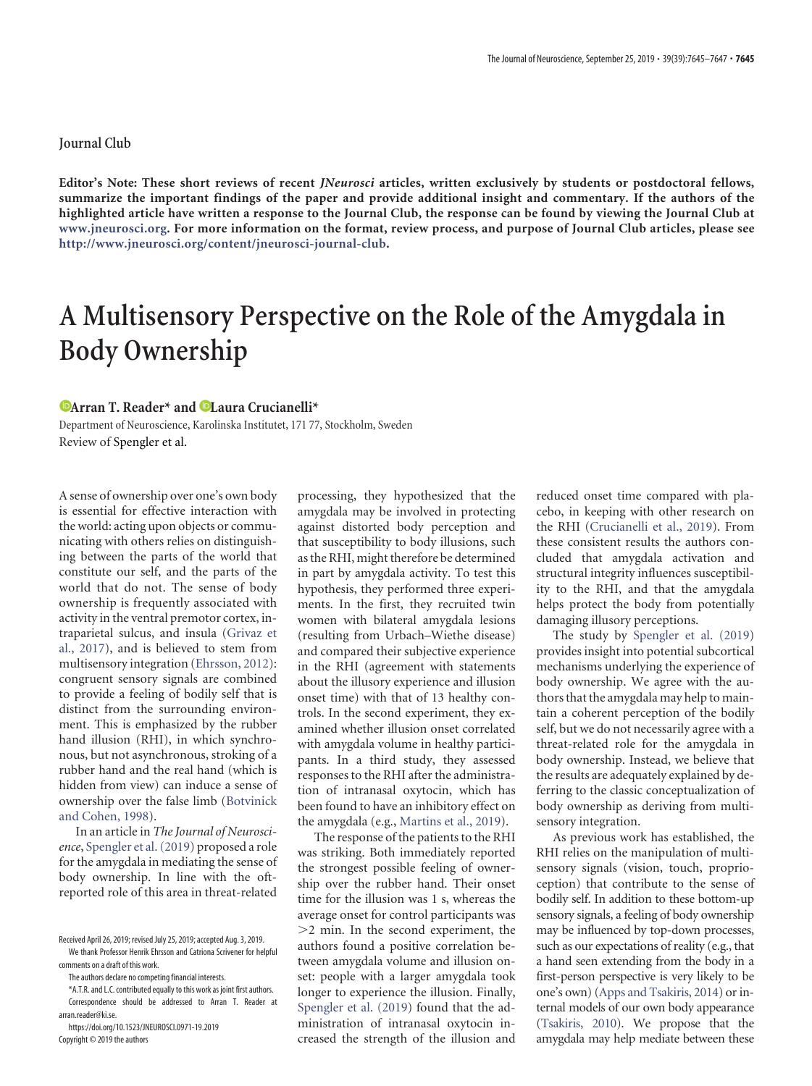## **Journal Club**

**Editor's Note: These short reviews of recent** *JNeurosci* **articles, written exclusively by students or postdoctoral fellows, summarize the important findings of the paper and provide additional insight and commentary. If the authors of the highlighted article have written a response to the Journal Club, the response can be found by viewing the Journal Club at www.jneurosci.org. For more information on the format, review process, and purpose of Journal Club articles, please see http://www.jneurosci.org/content/jneurosci-journal-club.**

## **A Multisensory Perspective on the Role of the Amygdala in Body Ownership**

## **Example 2.1 Plansa Example 2.1 Plansa Crucianelli\***

Department of Neuroscience, Karolinska Institutet, 171 77, Stockholm, Sweden Review of Spengler et al.

A sense of ownership over one's own body is essential for effective interaction with the world: acting upon objects or communicating with others relies on distinguishing between the parts of the world that constitute our self, and the parts of the world that do not. The sense of body ownership is frequently associated with activity in the ventral premotor cortex, intraparietal sulcus, and insula [\(Grivaz et](#page-1-0) [al., 2017\)](#page-1-0), and is believed to stem from multisensory integration [\(Ehrsson, 2012\)](#page-1-1): congruent sensory signals are combined to provide a feeling of bodily self that is distinct from the surrounding environment. This is emphasized by the rubber hand illusion (RHI), in which synchronous, but not asynchronous, stroking of a rubber hand and the real hand (which is hidden from view) can induce a sense of ownership over the false limb [\(Botvinick](#page-1-2) [and Cohen, 1998\)](#page-1-2).

In an article in *The Journal of Neuroscience*, [Spengler et al. \(2019\)](#page-2-0) proposed a role for the amygdala in mediating the sense of body ownership. In line with the oftreported role of this area in threat-related

Copyright © 2019 the authors

processing, they hypothesized that the amygdala may be involved in protecting against distorted body perception and that susceptibility to body illusions, such as the RHI, might therefore be determined in part by amygdala activity. To test this hypothesis, they performed three experiments. In the first, they recruited twin women with bilateral amygdala lesions (resulting from Urbach–Wiethe disease) and compared their subjective experience in the RHI (agreement with statements about the illusory experience and illusion onset time) with that of 13 healthy controls. In the second experiment, they examined whether illusion onset correlated with amygdala volume in healthy participants. In a third study, they assessed responses to the RHI after the administration of intranasal oxytocin, which has been found to have an inhibitory effect on the amygdala (e.g., [Martins et al., 2019\)](#page-2-1).

The response of the patients to the RHI was striking. Both immediately reported the strongest possible feeling of ownership over the rubber hand. Their onset time for the illusion was 1 s, whereas the average onset for control participants was -2 min. In the second experiment, the authors found a positive correlation between amygdala volume and illusion onset: people with a larger amygdala took longer to experience the illusion. Finally, [Spengler et al. \(2019\)](#page-2-0) found that the administration of intranasal oxytocin increased the strength of the illusion and reduced onset time compared with placebo, in keeping with other research on the RHI [\(Crucianelli et al., 2019\)](#page-1-3). From these consistent results the authors concluded that amygdala activation and structural integrity influences susceptibility to the RHI, and that the amygdala helps protect the body from potentially damaging illusory perceptions.

The study by [Spengler et al. \(2019\)](#page-2-0) provides insight into potential subcortical mechanisms underlying the experience of body ownership. We agree with the authors that the amygdala may help to maintain a coherent perception of the bodily self, but we do not necessarily agree with a threat-related role for the amygdala in body ownership. Instead, we believe that the results are adequately explained by deferring to the classic conceptualization of body ownership as deriving from multisensory integration.

As previous work has established, the RHI relies on the manipulation of multisensory signals (vision, touch, proprioception) that contribute to the sense of bodily self. In addition to these bottom-up sensory signals, a feeling of body ownership may be influenced by top-down processes, such as our expectations of reality (e.g., that a hand seen extending from the body in a first-person perspective is very likely to be one's own) [\(Apps and Tsakiris, 2014\)](#page-1-4) or internal models of our own body appearance [\(Tsakiris, 2010\)](#page-2-2). We propose that the amygdala may help mediate between these

Received April 26, 2019; revised July 25, 2019; accepted Aug. 3, 2019. We thank Professor Henrik Ehrsson and Catriona Scrivener for helpful comments on a draft of this work.

The authors declare no competing financial interests.

<sup>\*</sup>A.T.R. and L.C. contributed equally to this work as joint first authors.

Correspondence should be addressed to Arran T. Reader at [arran.reader@ki.se.](mailto:arran.reader@ki.se)

https://doi.org/10.1523/JNEUROSCI.0971-19.2019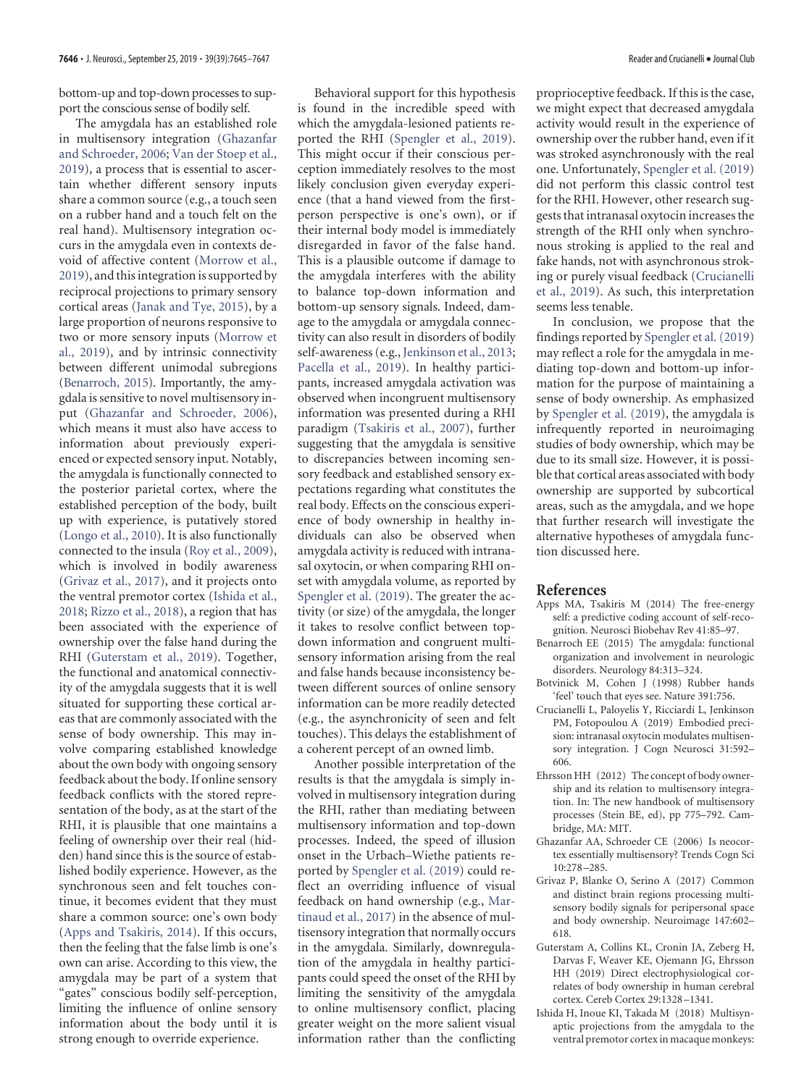bottom-up and top-down processes to support the conscious sense of bodily self.

The amygdala has an established role in multisensory integration [\(Ghazanfar](#page-1-5) [and Schroeder, 2006;](#page-1-5) [Van der Stoep et al.,](#page-2-3) [2019\)](#page-2-3), a process that is essential to ascertain whether different sensory inputs share a common source (e.g., a touch seen on a rubber hand and a touch felt on the real hand). Multisensory integration occurs in the amygdala even in contexts devoid of affective content [\(Morrow et al.,](#page-2-4) [2019\)](#page-2-4), and this integration is supported by reciprocal projections to primary sensory cortical areas [\(Janak and Tye, 2015\)](#page-2-5), by a large proportion of neurons responsive to two or more sensory inputs [\(Morrow et](#page-2-4) [al., 2019\)](#page-2-4), and by intrinsic connectivity between different unimodal subregions [\(Benarroch, 2015\)](#page-1-6). Importantly, the amygdala is sensitive to novel multisensory input [\(Ghazanfar and Schroeder, 2006\)](#page-1-5), which means it must also have access to information about previously experienced or expected sensory input. Notably, the amygdala is functionally connected to the posterior parietal cortex, where the established perception of the body, built up with experience, is putatively stored [\(Longo et al., 2010\)](#page-2-6). It is also functionally connected to the insula [\(Roy et al., 2009\)](#page-2-7), which is involved in bodily awareness [\(Grivaz et al., 2017\)](#page-1-0), and it projects onto the ventral premotor cortex [\(Ishida et al.,](#page-1-7) [2018;](#page-1-7) [Rizzo et al., 2018\)](#page-2-8), a region that has been associated with the experience of ownership over the false hand during the RHI [\(Guterstam et al., 2019\)](#page-1-8). Together, the functional and anatomical connectivity of the amygdala suggests that it is well situated for supporting these cortical areas that are commonly associated with the sense of body ownership. This may involve comparing established knowledge about the own body with ongoing sensory feedback about the body. If online sensory feedback conflicts with the stored representation of the body, as at the start of the RHI, it is plausible that one maintains a feeling of ownership over their real (hidden) hand since this is the source of established bodily experience. However, as the synchronous seen and felt touches continue, it becomes evident that they must share a common source: one's own body [\(Apps and Tsakiris, 2014\)](#page-1-4). If this occurs, then the feeling that the false limb is one's own can arise. According to this view, the amygdala may be part of a system that "gates" conscious bodily self-perception, limiting the influence of online sensory information about the body until it is strong enough to override experience.

Behavioral support for this hypothesis is found in the incredible speed with which the amygdala-lesioned patients reported the RHI [\(Spengler et al., 2019\)](#page-2-0). This might occur if their conscious perception immediately resolves to the most likely conclusion given everyday experience (that a hand viewed from the firstperson perspective is one's own), or if their internal body model is immediately disregarded in favor of the false hand. This is a plausible outcome if damage to the amygdala interferes with the ability to balance top-down information and bottom-up sensory signals. Indeed, damage to the amygdala or amygdala connectivity can also result in disorders of bodily self-awareness (e.g., [Jenkinson et al., 2013;](#page-2-9) [Pacella et al., 2019\)](#page-2-10). In healthy participants, increased amygdala activation was observed when incongruent multisensory information was presented during a RHI paradigm [\(Tsakiris et al., 2007\)](#page-2-11), further suggesting that the amygdala is sensitive to discrepancies between incoming sensory feedback and established sensory expectations regarding what constitutes the real body. Effects on the conscious experience of body ownership in healthy individuals can also be observed when amygdala activity is reduced with intranasal oxytocin, or when comparing RHI onset with amygdala volume, as reported by [Spengler et al. \(2019\)](#page-2-0). The greater the activity (or size) of the amygdala, the longer it takes to resolve conflict between topdown information and congruent multisensory information arising from the real and false hands because inconsistency between different sources of online sensory information can be more readily detected (e.g., the asynchronicity of seen and felt touches). This delays the establishment of a coherent percept of an owned limb.

Another possible interpretation of the results is that the amygdala is simply involved in multisensory integration during the RHI, rather than mediating between multisensory information and top-down processes. Indeed, the speed of illusion onset in the Urbach–Wiethe patients reported by [Spengler et al. \(2019\)](#page-2-0) could reflect an overriding influence of visual feedback on hand ownership (e.g., [Mar](#page-2-12)[tinaud et al., 2017\)](#page-2-12) in the absence of multisensory integration that normally occurs in the amygdala. Similarly, downregulation of the amygdala in healthy participants could speed the onset of the RHI by limiting the sensitivity of the amygdala to online multisensory conflict, placing greater weight on the more salient visual information rather than the conflicting

proprioceptive feedback. If this is the case, we might expect that decreased amygdala activity would result in the experience of ownership over the rubber hand, even if it was stroked asynchronously with the real one. Unfortunately, [Spengler et al. \(2019\)](#page-2-0) did not perform this classic control test for the RHI. However, other research suggests that intranasal oxytocin increases the strength of the RHI only when synchronous stroking is applied to the real and fake hands, not with asynchronous stroking or purely visual feedback [\(Crucianelli](#page-1-3) [et al., 2019\)](#page-1-3). As such, this interpretation seems less tenable.

In conclusion, we propose that the findings reported by [Spengler et al. \(2019\)](#page-2-0) may reflect a role for the amygdala in mediating top-down and bottom-up information for the purpose of maintaining a sense of body ownership. As emphasized by [Spengler et al. \(2019\)](#page-2-0), the amygdala is infrequently reported in neuroimaging studies of body ownership, which may be due to its small size. However, it is possible that cortical areas associated with body ownership are supported by subcortical areas, such as the amygdala, and we hope that further research will investigate the alternative hypotheses of amygdala function discussed here.

## **References**

- <span id="page-1-4"></span>Apps MA, Tsakiris M (2014) The free-energy self: a predictive coding account of self-recognition. Neurosci Biobehav Rev 41:85–97.
- <span id="page-1-6"></span>Benarroch EE (2015) The amygdala: functional organization and involvement in neurologic disorders. Neurology 84:313–324.
- <span id="page-1-2"></span>Botvinick M, Cohen J (1998) Rubber hands 'feel' touch that eyes see. Nature 391:756.
- <span id="page-1-3"></span>Crucianelli L, Paloyelis Y, Ricciardi L, Jenkinson PM, Fotopoulou A (2019) Embodied precision: intranasal oxytocin modulates multisensory integration. J Cogn Neurosci 31:592– 606.
- <span id="page-1-1"></span>Ehrsson HH (2012) The concept of body ownership and its relation to multisensory integration. In: The new handbook of multisensory processes (Stein BE, ed), pp 775–792. Cambridge, MA: MIT.
- <span id="page-1-5"></span>Ghazanfar AA, Schroeder CE (2006) Is neocortex essentially multisensory? Trends Cogn Sci 10:278 –285.
- <span id="page-1-0"></span>Grivaz P, Blanke O, Serino A (2017) Common and distinct brain regions processing multisensory bodily signals for peripersonal space and body ownership. Neuroimage 147:602– 618.
- <span id="page-1-8"></span>Guterstam A, Collins KL, Cronin JA, Zeberg H, Darvas F, Weaver KE, Ojemann JG, Ehrsson HH (2019) Direct electrophysiological correlates of body ownership in human cerebral cortex. Cereb Cortex 29:1328 –1341.
- <span id="page-1-7"></span>Ishida H, Inoue KI, Takada M (2018) Multisynaptic projections from the amygdala to the ventral premotor cortex in macaque monkeys: